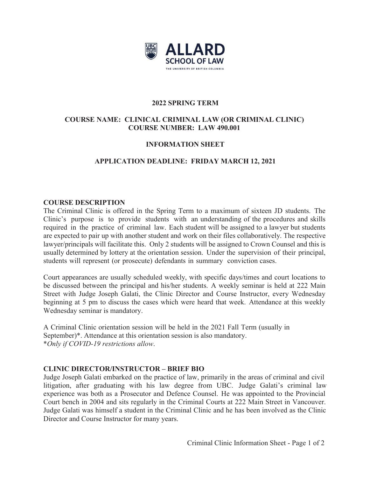

## **2022 SPRING TERM**

# **COURSE NAME: CLINICAL CRIMINAL LAW (OR CRIMINAL CLINIC) COURSE NUMBER: LAW 490.001**

# **INFORMATION SHEET**

# **APPLICATION DEADLINE: FRIDAY MARCH 12, 2021**

## **COURSE DESCRIPTION**

The Criminal Clinic is offered in the Spring Term to a maximum of sixteen JD students. The Clinic's purpose is to provide students with an understanding of the procedures and skills required in the practice of criminal law. Each student will be assigned to a lawyer but students are expected to pair up with another student and work on their files collaboratively. The respective lawyer/principals will facilitate this. Only 2 students will be assigned to Crown Counsel and this is usually determined by lottery at the orientation session. Under the supervision of their principal, students will represent (or prosecute) defendants in summary conviction cases.

Court appearances are usually scheduled weekly, with specific days/times and court locations to be discussed between the principal and his/her students. A weekly seminar is held at 222 Main Street with Judge Joseph Galati, the Clinic Director and Course Instructor, every Wednesday beginning at 5 pm to discuss the cases which were heard that week. Attendance at this weekly Wednesday seminar is mandatory.

A Criminal Clinic orientation session will be held in the 2021 Fall Term (usually in September)\*. Attendance at this orientation session is also mandatory. \**Only if COVID-19 restrictions allow*.

# **CLINIC DIRECTOR/INSTRUCTOR – BRIEF BIO**

Judge Joseph Galati embarked on the practice of law, primarily in the areas of criminal and civil litigation, after graduating with his law degree from UBC. Judge Galati's criminal law experience was both as a Prosecutor and Defence Counsel. He was appointed to the Provincial Court bench in 2004 and sits regularly in the Criminal Courts at 222 Main Street in Vancouver. Judge Galati was himself a student in the Criminal Clinic and he has been involved as the Clinic Director and Course Instructor for many years.